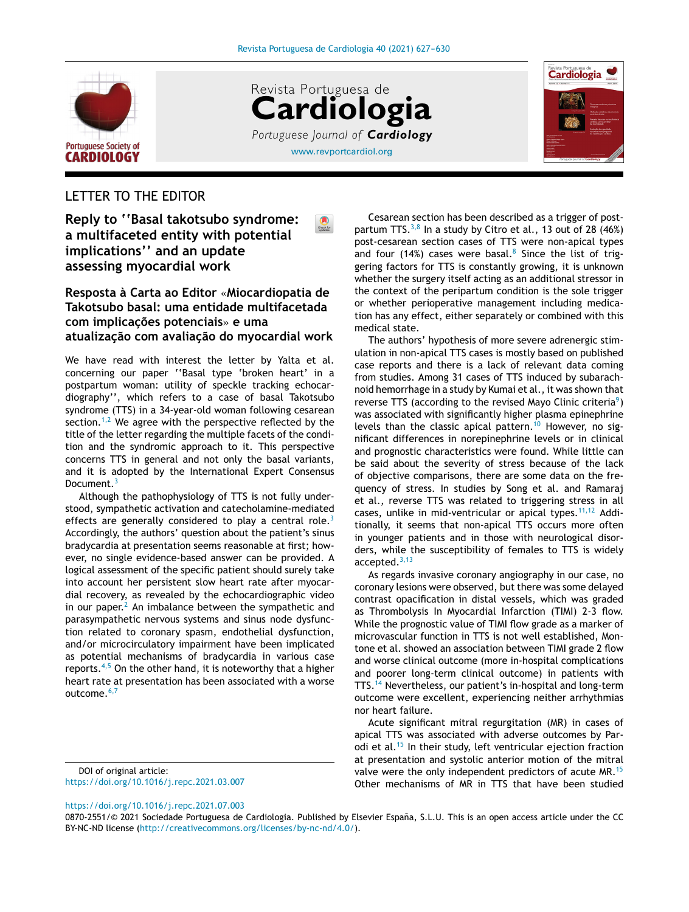

[www.revportcardiol.org](http://www.revportcardiol.org) Revista Portuguesa de **Cardiologia** *Portuguese Journal of Cardiology*



# LETTER TO THE EDITOR

**Reply to ''Basal takotsubo syndrome: a multifaceted entity with potential implications'' and an update assessing myocardial work**

## **Resposta à Carta ao Editor** «**Miocardiopatia de Takotsubo basal: uma entidade multifacetada com implicac¸ões potenciais**» **e uma atualizac¸ão com avaliac¸ão do myocardial work**

We have read with interest the letter by Yalta et al. concerning our paper ''Basal type 'broken heart' in a postpartum woman: utility of speckle tracking echocardiography'', which refers to a case of basal Takotsubo syndrome (TTS) in a 34-year-old woman following cesarean section.<sup>[1,2](#page-2-0)</sup> We agree with the perspective reflected by the title of the letter regarding the multiple facets of the condition and the syndromic approach to it. This perspective concerns TTS in general and not only the basal variants, and it is adopted by the International Expert Consensus Document.<sup>[3](#page-2-0)</sup>

Although the pathophysiology of TTS is not fully understood, sympathetic activation and catecholamine-mediated effects are generally considered to play a central role.<sup>[3](#page-2-0)</sup> Accordingly, the authors' question about the patient's sinus bradycardia at presentation seems reasonable at first; however, no single evidence-based answer can be provided. A logical assessment of the specific patient should surely take into account her persistent slow heart rate after myocardial recovery, as revealed by the echocardiographic video in our paper.<sup>[2](#page-2-0)</sup> An imbalance between the sympathetic and parasympathetic nervous systems and sinus node dysfunction related to coronary spasm, endothelial dysfunction, and/or microcirculatory impairment have been implicated as potential mechanisms of bradycardia in various case reports. $4,5$  On the other hand, it is noteworthy that a higher heart rate at presentation has been associated with a worse outcome.<sup>[6,7](#page-2-0)</sup>

DOI of original article: <https://doi.org/10.1016/j.repc.2021.03.007>

<https://doi.org/10.1016/j.repc.2021.07.003>

Cesarean section has been described as a trigger of postpartum TTS. $^{3,8}$  $^{3,8}$  $^{3,8}$  In a study by Citro et al., 13 out of 28 (46%) post-cesarean section cases of TTS were non-apical types and four (14%) cases were basal.<sup>[8](#page-2-0)</sup> Since the list of triggering factors for TTS is constantly growing, it is unknown whether the surgery itself acting as an additional stressor in the context of the peripartum condition is the sole trigger or whether perioperative management including medication has any effect, either separately or combined with this medical state.

The authors' hypothesis of more severe adrenergic stimulation in non-apical TTS cases is mostly based on published case reports and there is a lack of relevant data coming from studies. Among 31 cases of TTS induced by subarachnoid hemorrhage in a study by Kumai et al., it was shown that reverse TTS (according to the revised Mayo Clinic criteria<sup>9</sup>[\)](#page-2-0) was associated with significantly higher plasma epinephrine levels than the classic apical pattern.<sup>[10](#page-2-0)</sup> However, no significant differences in norepinephrine levels or in clinical and prognostic characteristics were found. While little can be said about the severity of stress because of the lack of objective comparisons, there are some data on the frequency of stress. In studies by Song et al. and Ramaraj et al., reverse TTS was related to triggering stress in all cases, unlike in mid-ventricular or apical types.<sup>[11,12](#page-2-0)</sup> Additionally, it seems that non-apical TTS occurs more often in younger patients and in those with neurological disorders, while the susceptibility of females to TTS is widely  $accelted.<sup>3,13</sup>$  $accelted.<sup>3,13</sup>$  $accelted.<sup>3,13</sup>$ 

As regards invasive coronary angiography in our case, no coronary lesions were observed, but there was some delayed contrast opacification in distal vessels, which was graded as Thrombolysis In Myocardial Infarction (TIMI) 2-3 flow. While the prognostic value of TIMI flow grade as a marker of microvascular function in TTS is not well established, Montone et al. showed an association between TIMI grade 2 flow and worse clinical outcome (more in-hospital complications and poorer long-term clinical outcome) in patients with TTS.[14](#page-2-0) Nevertheless, our patient's in-hospital and long-term outcome were excellent, experiencing neither arrhythmias nor heart failure.

Acute significant mitral regurgitation (MR) in cases of apical TTS was associated with adverse outcomes by Parodi et al.[15](#page-3-0) In their study, left ventricular ejection fraction at presentation and systolic anterior motion of the mitral valve were the only independent predictors of acute MR.<sup>[15](#page-3-0)</sup> Other mechanisms of MR in TTS that have been studied

<sup>0870-2551/© 2021</sup> Sociedade Portuguesa de Cardiologia. Published by Elsevier España, S.L.U. This is an open access article under the CC BY-NC-ND license (<http://creativecommons.org/licenses/by-nc-nd/4.0/>).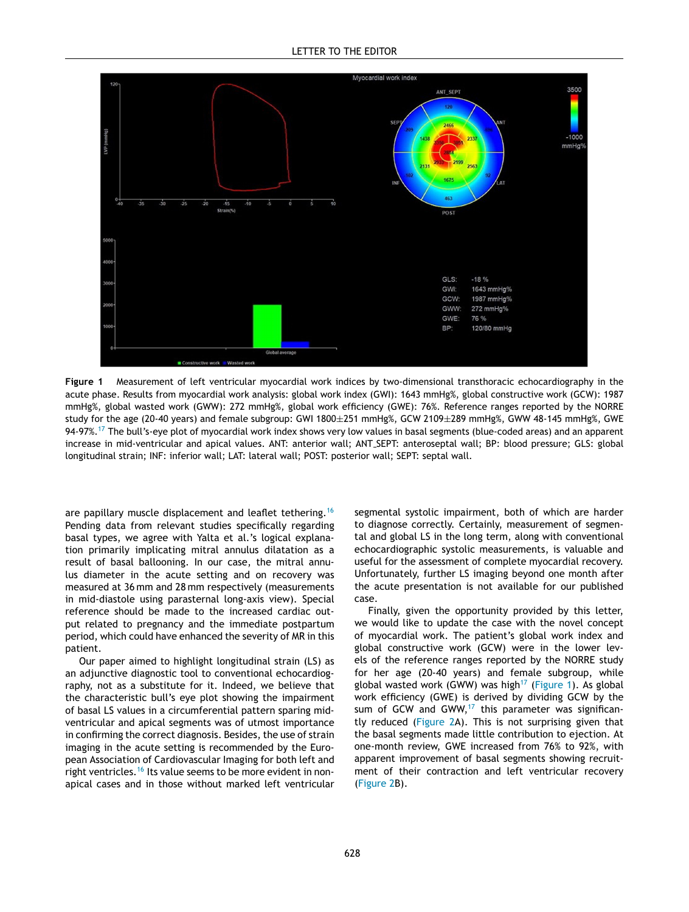

**Figure 1** Measurement of left ventricular myocardial work indices by two-dimensional transthoracic echocardiography in the acute phase. Results from myocardial work analysis: global work index (GWI): 1643 mmHg%, global constructive work (GCW): 1987 mmHg%, global wasted work (GWW): 272 mmHg%, global work efficiency (GWE): 76%. Reference ranges reported by the NORRE study for the age (20-40 years) and female subgroup: GWI 1800±251 mmHg%, GCW 2109±289 mmHg%, GWW 48-145 mmHg%, GWE 94-97%.<sup>[17](#page-3-0)</sup> The bull's-eye plot of myocardial work index shows very low values in basal segments (blue-coded areas) and an apparent increase in mid-ventricular and apical values. ANT: anterior wall; ANT SEPT: anteroseptal wall; BP: blood pressure; GLS: global longitudinal strain; INF: inferior wall; LAT: lateral wall; POST: posterior wall; SEPT: septal wall.

are papillary muscle displacement and leaflet tethering.<sup>[16](#page-3-0)</sup> Pending data from relevant studies specifically regarding basal types, we agree with Yalta et al.'s logical explanation primarily implicating mitral annulus dilatation as a result of basal ballooning. In our case, the mitral annulus diameter in the acute setting and on recovery was measured at 36 mm and 28 mm respectively (measurements in mid-diastole using parasternal long-axis view). Special reference should be made to the increased cardiac output related to pregnancy and the immediate postpartum period, which could have enhanced the severity of MR in this patient.

Our paper aimed to highlight longitudinal strain (LS) as an adjunctive diagnostic tool to conventional echocardiography, not as a substitute for it. Indeed, we believe that the characteristic bull's eye plot showing the impairment of basal LS values in a circumferential pattern sparing midventricular and apical segments was of utmost importance in confirming the correct diagnosis. Besides, the use of strain imaging in the acute setting is recommended by the European Association of Cardiovascular Imaging for both left and right ventricles.<sup>[16](#page-3-0)</sup> Its value seems to be more evident in nonapical cases and in those without marked left ventricular

segmental systolic impairment, both of which are harder to diagnose correctly. Certainly, measurement of segmental and global LS in the long term, along with conventional echocardiographic systolic measurements, is valuable and useful for the assessment of complete myocardial recovery. Unfortunately, further LS imaging beyond one month after the acute presentation is not available for our published case.

Finally, given the opportunity provided by this letter, we would like to update the case with the novel concept of myocardial work. The patient's global work index and global constructive work (GCW) were in the lower levels of the reference ranges reported by the NORRE study for her age (20-40 years) and female subgroup, while global wasted work (GWW) was high<sup>[17](#page-3-0)</sup> (Figure 1). As global work efficiency (GWE) is derived by dividing GCW by the sum of GCW and GWW, $17$  this parameter was significantly reduced ([Figure](#page-2-0) 2A). This is not surprising given that the basal segments made little contribution to ejection. At one-month review, GWE increased from 76% to 92%, with apparent improvement of basal segments showing recruitment of their contraction and left ventricular recovery ([Figure](#page-2-0) 2B).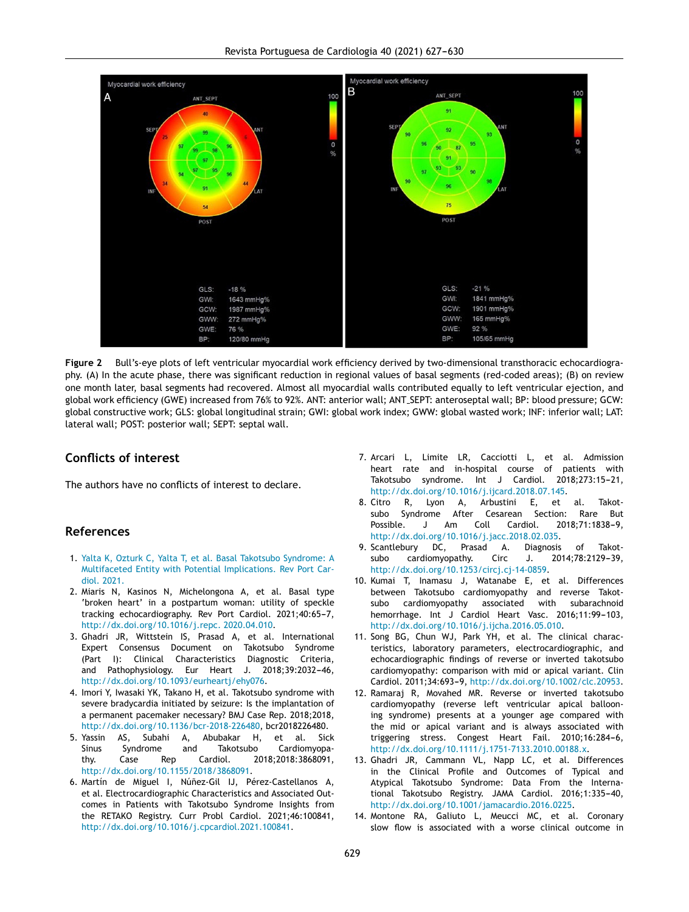<span id="page-2-0"></span>

**Figure 2** Bull's-eye plots of left ventricular myocardial work efficiency derived by two-dimensional transthoracic echocardiography. (A) In the acute phase, there was significant reduction in regional values of basal segments (red-coded areas); (B) on review one month later, basal segments had recovered. Almost all myocardial walls contributed equally to left ventricular ejection, and global work efficiency (GWE) increased from 76% to 92%. ANT: anterior wall; ANT SEPT: anteroseptal wall; BP: blood pressure; GCW: global constructive work; GLS: global longitudinal strain; GWI: global work index; GWW: global wasted work; INF: inferior wall; LAT: lateral wall; POST: posterior wall; SEPT: septal wall.

### **Conflicts of interest**

The authors have no conflicts of interest to declare.

#### **References**

- 1. [Yalta](http://refhub.elsevier.com/S0213-9111(21)00073-X/sbref0005) [K,](http://refhub.elsevier.com/S0213-9111(21)00073-X/sbref0005) [Ozturk](http://refhub.elsevier.com/S0213-9111(21)00073-X/sbref0005) [C,](http://refhub.elsevier.com/S0213-9111(21)00073-X/sbref0005) [Yalta](http://refhub.elsevier.com/S0213-9111(21)00073-X/sbref0005) [T,](http://refhub.elsevier.com/S0213-9111(21)00073-X/sbref0005) [et](http://refhub.elsevier.com/S0213-9111(21)00073-X/sbref0005) [al.](http://refhub.elsevier.com/S0213-9111(21)00073-X/sbref0005) [Basal](http://refhub.elsevier.com/S0213-9111(21)00073-X/sbref0005) [Takotsubo](http://refhub.elsevier.com/S0213-9111(21)00073-X/sbref0005) [Syndrome:](http://refhub.elsevier.com/S0213-9111(21)00073-X/sbref0005) [A](http://refhub.elsevier.com/S0213-9111(21)00073-X/sbref0005) [Multifaceted](http://refhub.elsevier.com/S0213-9111(21)00073-X/sbref0005) [Entity](http://refhub.elsevier.com/S0213-9111(21)00073-X/sbref0005) [with](http://refhub.elsevier.com/S0213-9111(21)00073-X/sbref0005) [Potential](http://refhub.elsevier.com/S0213-9111(21)00073-X/sbref0005) [Implications.](http://refhub.elsevier.com/S0213-9111(21)00073-X/sbref0005) [Rev](http://refhub.elsevier.com/S0213-9111(21)00073-X/sbref0005) [Port](http://refhub.elsevier.com/S0213-9111(21)00073-X/sbref0005) [Car](http://refhub.elsevier.com/S0213-9111(21)00073-X/sbref0005)[diol.](http://refhub.elsevier.com/S0213-9111(21)00073-X/sbref0005) [2021.](http://refhub.elsevier.com/S0213-9111(21)00073-X/sbref0005)
- 2. Miaris N, Kasinos N, Michelongona A, et al. Basal type 'broken heart' in a postpartum woman: utility of speckle tracking echocardiography. Rev Port Cardiol. 2021;40:65-7, [http://dx.doi.org/10.1016/j.repc.](dx.doi.org/10.1016/j.repc. 2020.04.010) 2020.04.010.
- 3. Ghadri JR, Wittstein IS, Prasad A, et al. International Expert Consensus Document on Takotsubo Syndrome (Part I): Clinical Characteristics Diagnostic Criteria, and Pathophysiology. Eur Heart J. 2018;39:2032-46, [http://dx.doi.org/10.1093/eurheartj/ehy076.](dx.doi.org/10.1093/eurheartj/ehy076)
- 4. Imori Y, Iwasaki YK, Takano H, et al. Takotsubo syndrome with severe bradycardia initiated by seizure: Is the implantation of a permanent pacemaker necessary? BMJ Case Rep. 2018;2018, [http://dx.doi.org/10.1136/bcr-2018-226480](dx.doi.org/10.1136/bcr-2018-226480), bcr2018226480.
- 5. Yassin AS, Subahi A, Abubakar H, et al. Sick Sinus Syndrome and Takotsubo Cardiomyopathy. Case Rep Cardiol. 2018;2018:3868091, [http://dx.doi.org/10.1155/2018/3868091](dx.doi.org/10.1155/2018/3868091).
- 6. Martín de Miguel I, Núñez-Gil IJ, Pérez-Castellanos A, et al. Electrocardiographic Characteristics and Associated Outcomes in Patients with Takotsubo Syndrome Insights from the RETAKO Registry. Curr Probl Cardiol. 2021;46:100841, [http://dx.doi.org/10.1016/j.cpcardiol.2021.100841.](dx.doi.org/10.1016/j.cpcardiol.2021.100841)
- 7. Arcari L, Limite LR, Cacciotti L, et al. Admission heart rate and in-hospital course of patients with Takotsubo syndrome. Int J Cardiol. 2018;273:15-21, [http://dx.doi.org/10.1016/j.ijcard.2018.07.145](dx.doi.org/10.1016/j.ijcard.2018.07.145).
- 8. Citro R, Lyon A, Arbustini E, et al. Takotsubo Syndrome After Cesarean Section: Rare But Possible. J Am Coll Cardiol. 2018;71:1838-9, [http://dx.doi.org/10.1016/j.jacc.2018.02.035.](dx.doi.org/10.1016/j.jacc.2018.02.035)
- 9. Scantlebury DC, Prasad A. Diagnosis of Takotsubo cardiomyopathy. Circ J. 2014;78:2129-39, [http://dx.doi.org/10.1253/circj.cj-14-0859](dx.doi.org/10.1253/circj.cj-14-0859).
- 10. Kumai T, Inamasu J, Watanabe E, et al. Differences between Takotsubo cardiomyopathy and reverse Takotsubo cardiomyopathy associated with subarachnoid hemorrhage. Int J Cardiol Heart Vasc. 2016;11:99-103, [http://dx.doi.org/10.1016/j.ijcha.2016.05.010](dx.doi.org/10.1016/j.ijcha.2016.05.010).
- 11. Song BG, Chun WJ, Park YH, et al. The clinical characteristics, laboratory parameters, electrocardiographic, and echocardiographic findings of reverse or inverted takotsubo cardiomyopathy: comparison with mid or apical variant. Clin Cardiol. 2011;34:693-9, [http://dx.doi.org/10.1002/clc.20953.](dx.doi.org/10.1002/clc.20953)
- 12. Ramaraj R, Movahed MR. Reverse or inverted takotsubo cardiomyopathy (reverse left ventricular apical ballooning syndrome) presents at a younger age compared with the mid or apical variant and is always associated with triggering stress. Congest Heart Fail. 2010;16:284-6, [http://dx.doi.org/10.1111/j.1751-7133.2010.00188.x.](dx.doi.org/10.1111/j.1751-7133.2010.00188.x)
- 13. Ghadri JR, Cammann VL, Napp LC, et al. Differences in the Clinical Profile and Outcomes of Typical and Atypical Takotsubo Syndrome: Data From the International Takotsubo Registry. JAMA Cardiol. 2016;1:335-40, [http://dx.doi.org/10.1001/jamacardio.2016.0225.](dx.doi.org/10.1001/jamacardio.2016.0225)
- 14. Montone RA, Galiuto L, Meucci MC, et al. Coronary slow flow is associated with a worse clinical outcome in